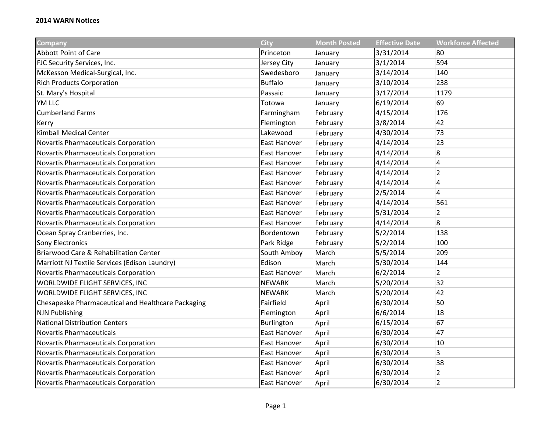| <b>Company</b>                                     | <b>City</b>         | <b>Month Posted</b> | <b>Effective Date</b> | <b>Workforce Affected</b> |
|----------------------------------------------------|---------------------|---------------------|-----------------------|---------------------------|
| <b>Abbott Point of Care</b>                        | Princeton           | January             | 3/31/2014             | 80                        |
| FJC Security Services, Inc.                        | Jersey City         | January             | 3/1/2014              | 594                       |
| McKesson Medical-Surgical, Inc.                    | Swedesboro          | January             | 3/14/2014             | 140                       |
| <b>Rich Products Corporation</b>                   | <b>Buffalo</b>      | January             | 3/10/2014             | 238                       |
| St. Mary's Hospital                                | Passaic             | January             | 3/17/2014             | 1179                      |
| YM LLC                                             | Totowa              | January             | 6/19/2014             | 69                        |
| <b>Cumberland Farms</b>                            | Farmingham          | February            | 4/15/2014             | 176                       |
| Kerry                                              | Flemington          | February            | 3/8/2014              | 42                        |
| <b>Kimball Medical Center</b>                      | Lakewood            | February            | 4/30/2014             | 73                        |
| <b>Novartis Pharmaceuticals Corporation</b>        | <b>East Hanover</b> | February            | 4/14/2014             | 23                        |
| <b>Novartis Pharmaceuticals Corporation</b>        | <b>East Hanover</b> | February            | 4/14/2014             | $\boldsymbol{8}$          |
| Novartis Pharmaceuticals Corporation               | East Hanover        | February            | 4/14/2014             | $\overline{4}$            |
| <b>Novartis Pharmaceuticals Corporation</b>        | East Hanover        | February            | 4/14/2014             | $\overline{2}$            |
| <b>Novartis Pharmaceuticals Corporation</b>        | East Hanover        | February            | 4/14/2014             | $\overline{4}$            |
| <b>Novartis Pharmaceuticals Corporation</b>        | East Hanover        | February            | 2/5/2014              | $\overline{4}$            |
| <b>Novartis Pharmaceuticals Corporation</b>        | East Hanover        | February            | 4/14/2014             | 561                       |
| <b>Novartis Pharmaceuticals Corporation</b>        | <b>East Hanover</b> | February            | 5/31/2014             | $\overline{2}$            |
| Novartis Pharmaceuticals Corporation               | East Hanover        | February            | 4/14/2014             | 8                         |
| Ocean Spray Cranberries, Inc.                      | Bordentown          | February            | 5/2/2014              | 138                       |
| <b>Sony Electronics</b>                            | Park Ridge          | February            | 5/2/2014              | 100                       |
| Briarwood Care & Rehabilitation Center             | South Amboy         | March               | 5/5/2014              | 209                       |
| Marriott NJ Textile Services (Edison Laundry)      | Edison              | March               | 5/30/2014             | 144                       |
| Novartis Pharmaceuticals Corporation               | <b>East Hanover</b> | March               | 6/2/2014              | $\overline{2}$            |
| WORLDWIDE FLIGHT SERVICES, INC                     | <b>NEWARK</b>       | March               | 5/20/2014             | 32                        |
| WORLDWIDE FLIGHT SERVICES, INC                     | <b>NEWARK</b>       | March               | 5/20/2014             | 42                        |
| Chesapeake Pharmaceutical and Healthcare Packaging | Fairfield           | April               | 6/30/2014             | 50                        |
| <b>NJN Publishing</b>                              | Flemington          | April               | 6/6/2014              | 18                        |
| <b>National Distribution Centers</b>               | Burlington          | April               | 6/15/2014             | 67                        |
| <b>Novartis Pharmaceuticals</b>                    | East Hanover        | April               | 6/30/2014             | 47                        |
| <b>Novartis Pharmaceuticals Corporation</b>        | East Hanover        | April               | 6/30/2014             | 10                        |
| Novartis Pharmaceuticals Corporation               | East Hanover        | April               | 6/30/2014             | 3                         |
| <b>Novartis Pharmaceuticals Corporation</b>        | <b>East Hanover</b> | April               | 6/30/2014             | 38                        |
| <b>Novartis Pharmaceuticals Corporation</b>        | <b>East Hanover</b> | April               | 6/30/2014             | $\overline{2}$            |
| <b>Novartis Pharmaceuticals Corporation</b>        | East Hanover        | April               | 6/30/2014             | $\overline{2}$            |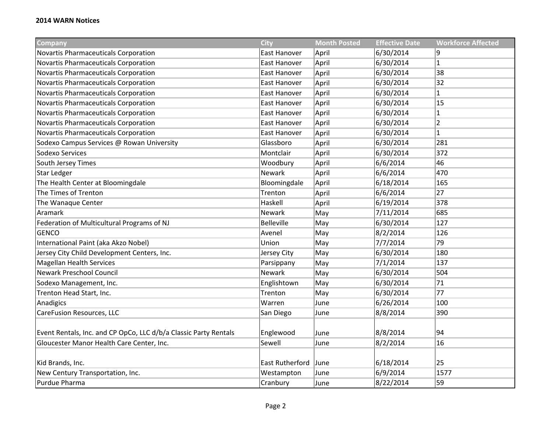## **2014 WARN Notices**

| Company                                                          | <b>City</b>            | <b>Month Posted</b> | <b>Effective Date</b> | <b>Workforce Affected</b> |
|------------------------------------------------------------------|------------------------|---------------------|-----------------------|---------------------------|
| Novartis Pharmaceuticals Corporation                             | East Hanover           | April               | 6/30/2014             | 9                         |
| Novartis Pharmaceuticals Corporation                             | <b>East Hanover</b>    | April               | 6/30/2014             | $\mathbf{1}$              |
| Novartis Pharmaceuticals Corporation                             | East Hanover           | April               | 6/30/2014             | 38                        |
| Novartis Pharmaceuticals Corporation                             | East Hanover           | April               | 6/30/2014             | 32                        |
| Novartis Pharmaceuticals Corporation                             | East Hanover           | April               | 6/30/2014             | $\mathbf{1}$              |
| Novartis Pharmaceuticals Corporation                             | East Hanover           | April               | 6/30/2014             | 15                        |
| Novartis Pharmaceuticals Corporation                             | East Hanover           | April               | 6/30/2014             | 1                         |
| Novartis Pharmaceuticals Corporation                             | East Hanover           | April               | 6/30/2014             | $\overline{2}$            |
| Novartis Pharmaceuticals Corporation                             | East Hanover           | April               | 6/30/2014             | $\mathbf{1}$              |
| Sodexo Campus Services @ Rowan University                        | Glassboro              | April               | 6/30/2014             | 281                       |
| Sodexo Services                                                  | Montclair              | April               | 6/30/2014             | 372                       |
| South Jersey Times                                               | Woodbury               | April               | 6/6/2014              | 46                        |
| Star Ledger                                                      | Newark                 | April               | 6/6/2014              | 470                       |
| The Health Center at Bloomingdale                                | Bloomingdale           | April               | 6/18/2014             | 165                       |
| The Times of Trenton                                             | Trenton                | April               | 6/6/2014              | 27                        |
| The Wanaque Center                                               | Haskell                | April               | 6/19/2014             | 378                       |
| Aramark                                                          | <b>Newark</b>          | May                 | 7/11/2014             | 685                       |
| Federation of Multicultural Programs of NJ                       | <b>Belleville</b>      | May                 | 6/30/2014             | 127                       |
| <b>GENCO</b>                                                     | Avenel                 | May                 | 8/2/2014              | 126                       |
| International Paint (aka Akzo Nobel)                             | Union                  | May                 | 7/7/2014              | 79                        |
| Jersey City Child Development Centers, Inc.                      | Jersey City            | May                 | 6/30/2014             | 180                       |
| <b>Magellan Health Services</b>                                  | Parsippany             | May                 | 7/1/2014              | 137                       |
| <b>Newark Preschool Council</b>                                  | Newark                 | May                 | 6/30/2014             | 504                       |
| Sodexo Management, Inc.                                          | Englishtown            | May                 | 6/30/2014             | 71                        |
| Trenton Head Start, Inc.                                         | Trenton                | May                 | 6/30/2014             | 77                        |
| Anadigics                                                        | Warren                 | June                | 6/26/2014             | 100                       |
| CareFusion Resources, LLC                                        | San Diego              | June                | 8/8/2014              | 390                       |
|                                                                  |                        |                     |                       |                           |
| Event Rentals, Inc. and CP OpCo, LLC d/b/a Classic Party Rentals | Englewood              | June                | 8/8/2014              | 94                        |
| Gloucester Manor Health Care Center, Inc.                        | Sewell                 | June                | 8/2/2014              | 16                        |
|                                                                  |                        |                     |                       |                           |
| Kid Brands, Inc.                                                 | <b>East Rutherford</b> | June                | 6/18/2014             | 25                        |
| New Century Transportation, Inc.                                 | Westampton             | June                | 6/9/2014              | 1577                      |
| Purdue Pharma                                                    | Cranbury               | June                | 8/22/2014             | 59                        |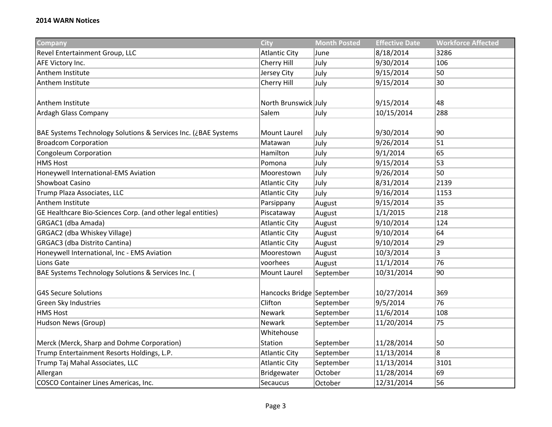| Company                                                        | <b>City</b>               | <b>Month Posted</b> | <b>Effective Date</b> | <b>Workforce Affected</b> |
|----------------------------------------------------------------|---------------------------|---------------------|-----------------------|---------------------------|
| Revel Entertainment Group, LLC                                 | <b>Atlantic City</b>      | June                | 8/18/2014             | 3286                      |
| AFE Victory Inc.                                               | Cherry Hill               | July                | 9/30/2014             | 106                       |
| Anthem Institute                                               | Jersey City               | July                | 9/15/2014             | 50                        |
| Anthem Institute                                               | Cherry Hill               | July                | 9/15/2014             | 30                        |
|                                                                |                           |                     |                       |                           |
| Anthem Institute                                               | North Brunswick July      |                     | 9/15/2014             | 48                        |
| Ardagh Glass Company                                           | Salem                     | July                | 10/15/2014            | 288                       |
|                                                                |                           |                     |                       |                           |
| BAE Systems Technology Solutions & Services Inc. (¿BAE Systems | <b>Mount Laurel</b>       | July                | 9/30/2014             | 90                        |
| <b>Broadcom Corporation</b>                                    | Matawan                   | July                | 9/26/2014             | 51                        |
| Congoleum Corporation                                          | Hamilton                  | July                | 9/1/2014              | 65                        |
| <b>HMS Host</b>                                                | Pomona                    | July                | 9/15/2014             | 53                        |
| Honeywell International-EMS Aviation                           | Moorestown                | July                | 9/26/2014             | 50                        |
| Showboat Casino                                                | <b>Atlantic City</b>      | July                | 8/31/2014             | 2139                      |
| Trump Plaza Associates, LLC                                    | <b>Atlantic City</b>      | July                | 9/16/2014             | 1153                      |
| Anthem Institute                                               | Parsippany                | August              | 9/15/2014             | 35                        |
| GE Healthcare Bio-Sciences Corp. (and other legal entities)    | Piscataway                | August              | 1/1/2015              | 218                       |
| GRGAC1 (dba Amada)                                             | <b>Atlantic City</b>      | August              | 9/10/2014             | 124                       |
| GRGAC2 (dba Whiskey Village)                                   | <b>Atlantic City</b>      | August              | 9/10/2014             | 64                        |
| GRGAC3 (dba Distrito Cantina)                                  | <b>Atlantic City</b>      | August              | 9/10/2014             | 29                        |
| Honeywell International, Inc - EMS Aviation                    | Moorestown                | August              | 10/3/2014             | 3                         |
| Lions Gate                                                     | voorhees                  | August              | 11/1/2014             | 76                        |
| BAE Systems Technology Solutions & Services Inc. (             | Mount Laurel              | September           | 10/31/2014            | 90                        |
|                                                                |                           |                     |                       |                           |
| <b>G4S Secure Solutions</b>                                    | Hancocks Bridge September |                     | 10/27/2014            | 369                       |
| Green Sky Industries                                           | Clifton                   | September           | 9/5/2014              | 76                        |
| <b>HMS Host</b>                                                | Newark                    | September           | 11/6/2014             | 108                       |
| Hudson News (Group)                                            | <b>Newark</b>             | September           | 11/20/2014            | 75                        |
|                                                                | Whitehouse                |                     |                       |                           |
| Merck (Merck, Sharp and Dohme Corporation)                     | Station                   | September           | 11/28/2014            | 50                        |
| Trump Entertainment Resorts Holdings, L.P.                     | <b>Atlantic City</b>      | September           | 11/13/2014            | 8                         |
| Trump Taj Mahal Associates, LLC                                | <b>Atlantic City</b>      | September           | 11/13/2014            | 3101                      |
| Allergan                                                       | Bridgewater               | October             | 11/28/2014            | 69                        |
| COSCO Container Lines Americas, Inc.                           | Secaucus                  | October             | 12/31/2014            | 56                        |